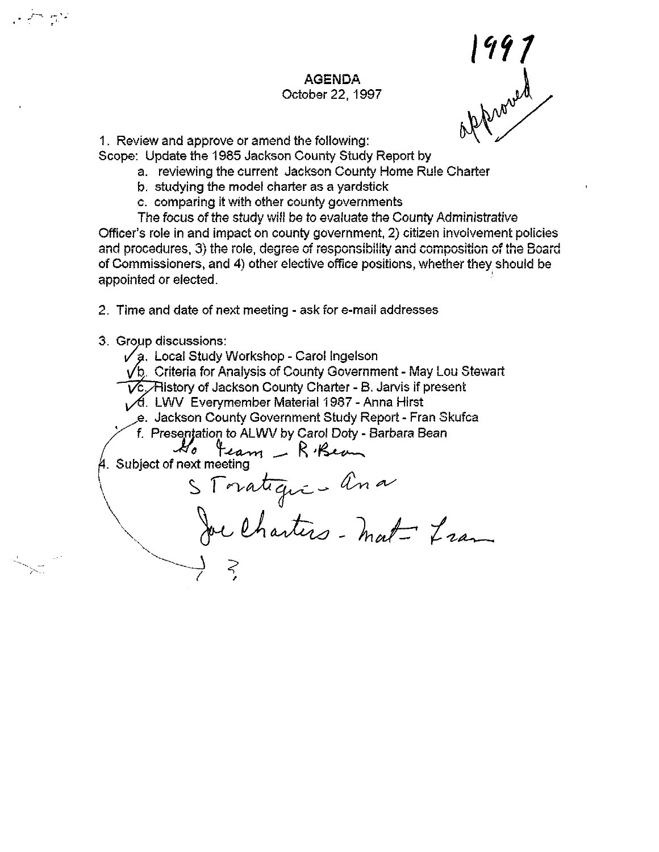#### **AGENDA**  October 22,1997

| 997 pproved

1. Review and approve or amend the following:

Scope: Update the 1985 Jackson County Study Report by

- a. reviewing the current Jackson County Home Rule Charter
- b. studying the model charter as a yardstick
- c. comparing it with other county governments

The focus of the study will be to evaluate the County Administrative Officer's role in and impact on county government, 2) citizen involvement policies and procedures, 3) the role, degree of responsibility and composition of the Board of Commissioners, and 4) other elective office positions, whether they should be appointed or elected.

2. Time and date of next meeting - ask for e-mail addresses

3. Group discussions:

 $\mathcal{F}^{\bullet}$  ,  $\mathcal{F}^{\bullet}$ 

 $\sqrt{a}$ . Local Study Workshop - Carol Ingelson

 $\sqrt{b}$ . Criteria for Analysis of County Government - May Lou Stewart

- $\widetilde{\mathsf{VC}}$ . History of Jackson County Charter B. Jarvis if present
- A. LWV Everymember Material 1987 Anna Hirst
- e. Jackson County Government Study Report Fran Skufca<br>f. Presentation to ALWV by Carol Doty Barbara Bean<br>4. Subject of next meeting
	- $\angle$  f. Presentation to ALWV by Carol Doty Barbara Bean

*Jlc* + reception to next by said borg box

 $\overline{\phantom{a}}$  ( $\phantom{a}$ )

 $\sqrt{S}$  Toratique - ana Sor Charters - mat- Liam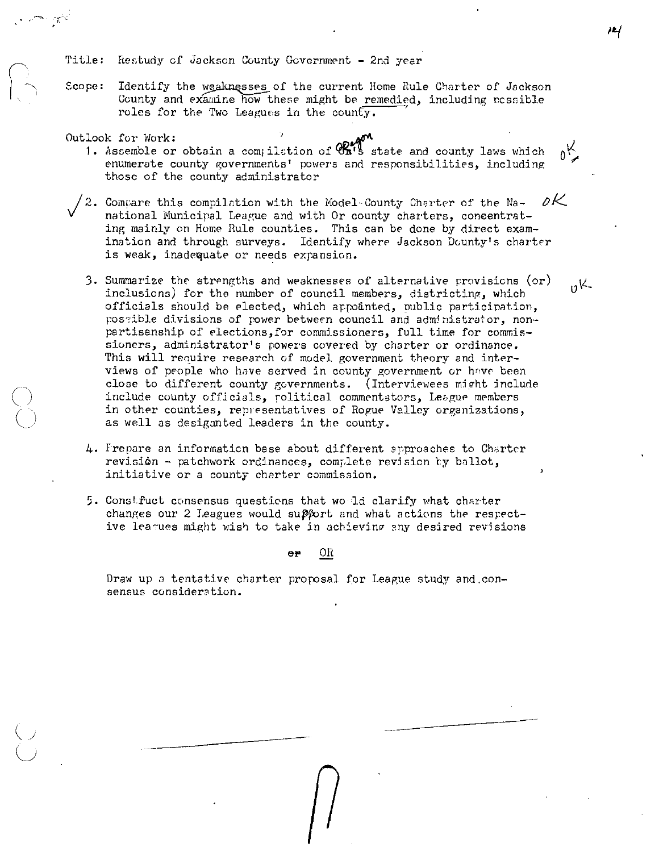Title: Restudy of Jackson County Government - 2nd year

Scope: Identify the weaknesses of the current Home Rule Charter of Jackson County and examine how these might be remedied, including possible roles for the Two Leagues in the county.

ہےم

 $_0$ K

 $nK$ 

Outlook for Work:

- 1. Assemble or obtain a compilation of CRM's state and county laws which enumerate county governments' powers and responsibilities, including those of the county administrator
- $\nu$ K  $\sqrt{2}$ . Compare this compilation with the Model-County Charter of the Nanational Municipal League and with Or county charters, concentrating mainly on Home Rule counties. This can be done by direct examination and through surveys. Identify where Jackson Dounty's charter is weak, inadequate or needs expansion.
	- 3. Summarize the strengths and weaknesses of alternative provisions  $(\circ r)$ inclusions) for the number of council members, districting, which officials should be elected, which appointed, public participation, possible divisions of power between council and administrator, nonpartisanship of elections, for commissioners, full time for commissioners, administrator's powers covered by charter or ordinance. This will require research of model government theory and interviews of people who have served in county government or have been close to different county governments. (Interviewees might include include county officials, political commentators, League members in other counties, representatives of Rogue Valley organizations, as well as desiganted leaders in the county.
	- 4. Frepare an information base about different approaches to Charter revision - patchwork ordinances, complete revision by ballot, initiative or a county charter commission.
	- 5. Constfuct consensus questions that would clarify what charter changes our 2 Leagues would support and what actions the respective leagues might wish to take in achieving any desired revisions

OR Θř

Draw up a tentative charter proposal for League study and consensus consideration.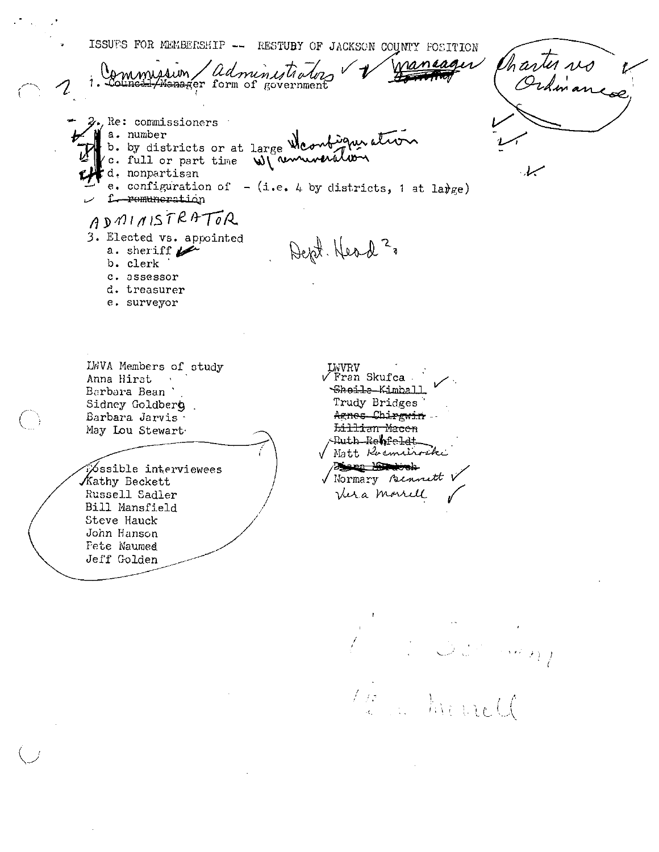ISSUES FOR MEMBERSHIP -- RESTUBY OF JACKSON COUNTY FOSITION Charter vs nancages administrating mmission Council/Manager form of government  $2.$ , Re: commissioners  $\overline{\phantom{a}}$ Ma. number b. by districts or at large Mcombigner atron c. full or part time Winnwerston d. nonpartisan e. configuration of  $-$  (i.e. 4 by districts, 1 at large) f-remuneration ADMINISTRATOR 3. Elected vs. appointed Dept. Head 2. a. sheriff  $\mathscr{L}$ b. clerk c. assessor d. treasurer e. surveyor LWVA Members of study LWVRV √ Fran Skufca -Anna Hirst Sheile Kimball Barbara Bean Trudy Bridges Sidney Goldberg Agnes Chirgwin. Barbara Jarvis -Lillian Macen May Lou Stewart -Ruth-Re**h**fe<del>l</del>dt Nott Roemerocke Dinna Milenoek **Ossible interviewees** V Normary Bennett Kathy Beckett Vera morrell Russell Sadler Bill Mansfield Steve Hauck John Hanson Fete Naumed Jeff Golden

hind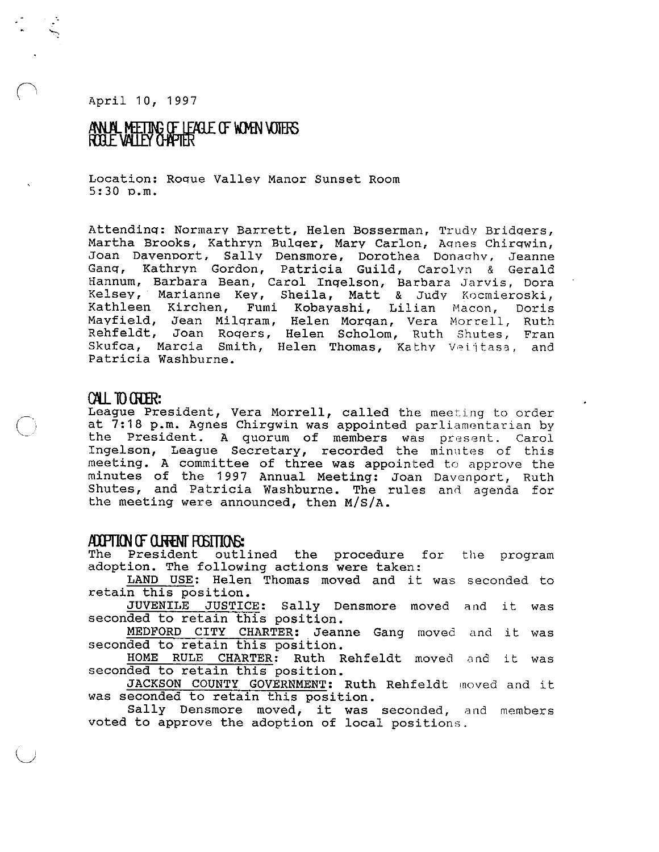April 10, 1997

 $\bigcap$ 

 $\bigcirc$ 

 $\bigcup$ 

# ANUAL METING OF LEAGLE OF WOMEN VOTERS<br>ROGLE VALLEY CHAPTER

Location: Roque Valley Manor Sunset Room 5:30 p.m.

Attendinq: Normary Barrett, Helen Bosserman, Trudy Bridqers, Martha Brooks, Kathryn Bulqer, Mary Carlon, Aqnes Chirqwin, Joan Davenport, Sallv Densmore, Dorothea Donaqhy, Jeanne Joan Davenport, Sally Densmore, Dorothea Donaghy, Jeanne<br>Gang, Kathryn Gordon, Patricia Guild, Carolyn & Gerald Hannum, Barbara Bean, Carol Inqelson, Barbara Jarvis, Dora Kelsey, Marianne Key, Sheila, Matt & Judy Kocmieroski, Kathleen Kirchen, Fumi Kobayashi, Lilian Macon, Doris Mayfield, Jean Milgram, Helen Morgan, Vera Morrell, Ruth Rehfeldt, Joan Roqers, Helen Scholom, Ruth Shutes, Fran Skufca, Marcia Smith, Helen Thomas, Kathy Veijtasa, and Patricia Washburne.

#### **au** 10 OUR:

League President, Vera Morrell, called the meeting to order at 7:18 p.m. Agnes Chirgwin was appointed parliamentarian by the President. A quorum of members was present. Carol Ingelson, League Secretary, recorded the minutes of this meeting. A committee of three was appointed to approve the minutes of the 1997 Annual Meeting: Joan Davenport, Ruth shutes, and Patricia Washburne. The rules and agenda for the meeting were announced, then M/S/A.

#### **1tlPI1<N (f o.mNf REITIOO**

The President outlined the procedure for adoption. The following actions were taken: the program

ION. The LOILOWING actions were taken:<br><u>LAND USE</u>: Helen Thomas moved and it was seconded to retain this position.

n this position.<br><mark>JUVENILE JUSTICE:</mark> Sally Densmore moved and it was seconded to retain this position.

MEDFORD CITY CHARTER: Jeanne Gang moved **and** it was seconded to retain this position.

ded to retain this position.<br><u>HOME RULE CHARTER</u>: Ruth Rehfeldt moved and it was seconded to retain this position.

JACKSON COUNTY GOVERNMENT: Ruth Rehfeldt moved and it was seconded to retain this position.

Sally Densmore moved, it was seconded, and members voted to approve the adoption of local positions.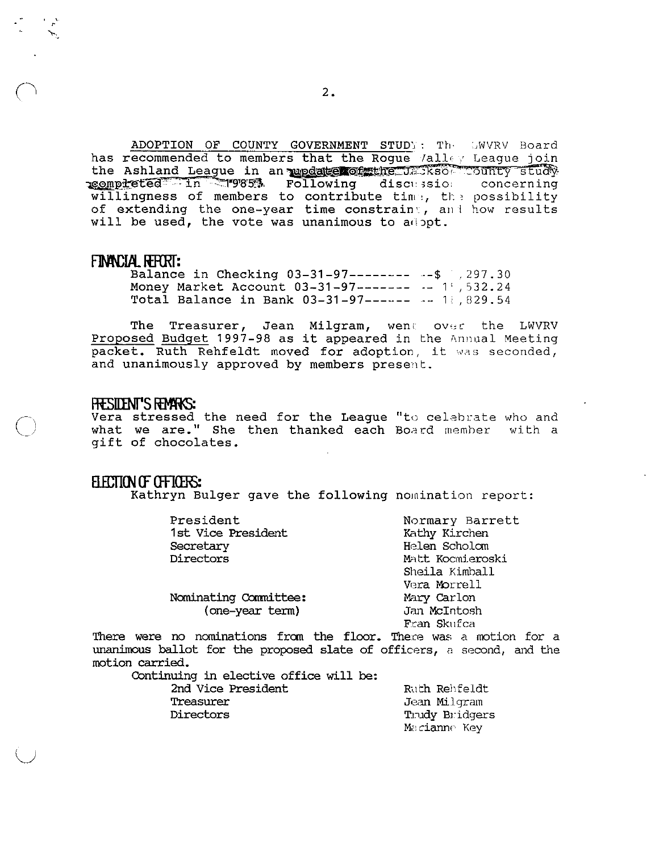ADOPTION OF COUNTY GOVERNMENT STUDY: The GWVRV Board has recommended to members that the Rogue /alley League join the Ashland League in an update of the USSS COUNTY study. willingness of members to contribute time, the possibility of extending the one-year time constraint, and how results will be used, the vote was unanimous to adopt.

#### FINANCIAL REPORT:

Balance in Checking 03-31-97-------- -- \$ , 297.30 Money Market Account 03-31-97------- -- 1.,532.24 Total Balance in Bank 03-31-97------ -- 18,829.54

Treasurer, Jean Milgram, went over the LWVRV The Proposed Budget 1997-98 as it appeared in the Annual Meeting packet. Ruth Rehfeldt moved for adoption, it was seconded, and unanimously approved by members present.

#### FRESIDENT'S FEMARS:

Vera stressed the need for the League "to celebrate who and what we are." She then thanked each Board member with a qift of chocolates.

#### ELECTION OF OFFICERS:

Kathryn Bulger gave the following nomination report:

| President             | Normary Barrett  |
|-----------------------|------------------|
| 1st Vice President    | Kathy Kirchen    |
| Secretary             | Helen Scholom    |
| Directors             | Matt Kocmieroski |
|                       | Sheila Kimball   |
|                       | Vera Morrell     |
| Nominating Committee: | Mary Carlon      |
| (one-year term)       | Jan McIntosh     |
|                       | Fran Skufca      |

There were no nominations from the floor. There was a motion for a unanimous ballot for the proposed slate of officers, a second, and the motion carried.

Continuing in elective office will be:

2nd Vice President Treasurer Directors

Ruth Rehfeldt Jean Milgram Trudy Bridgers Macianne Key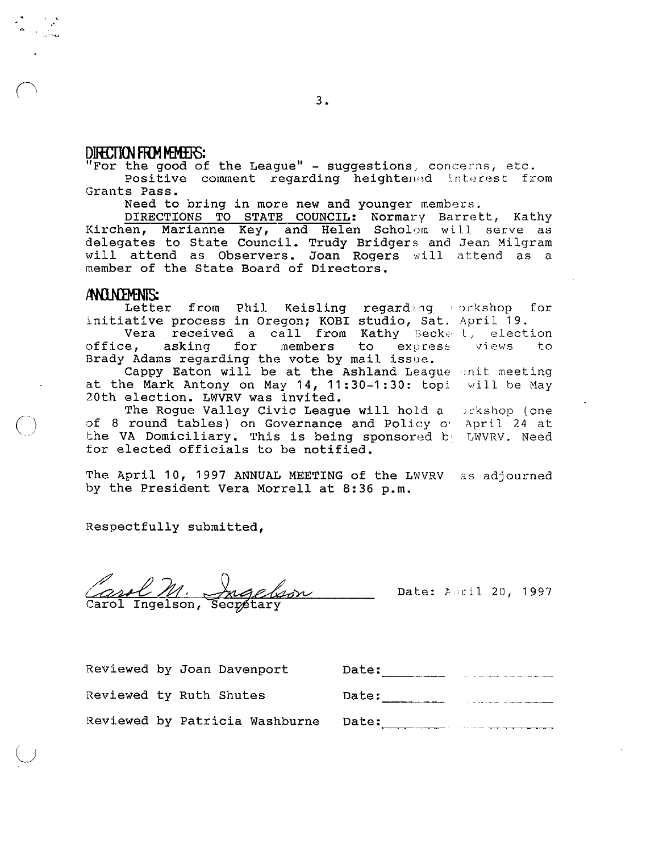#### **DIIEI1(}J FRM ft9f£R):**

"'"

 $\bigcap$ 

 $\bigcirc$ 

"For the good of the League" - suggestions, concerns, etc.

Positive comment regarding heightened interest from Grants Pass.

Need to bring in more new and younger members.

DIRECTIONS TO STATE COUNCIL: Normary Barrett, Kathy Kirchen, Marianne Key, and Helen Scholom will serve as delegates to State Council. Trudy Bridgers and Jean Milgram will attend as Observers. Joan Rogers will attend as a member of the State Board of Directors.

#### ANUNEMENIS:

Letter from Phil Keisling regarding sorkshop for initiative process in Oregon; KOBI studio, Sat. April 19. acive process in oregon, Robi Sedaro, Sac.<br>Vera received a call from Kathy Becke t, election

office, asking for members to express office, asking for members to express<br>Brady Adams regarding the vote by mail issue. views to

The Logarding one vood by main abbac. at the Mark Antony on May 14, 11:30-1:30: topi will be May 20th election. LWVRV was invited.

The Rogue Valley Civic League will hold a )ckshop (one of 8 round tables) on Governance and Policy o' April 24 at the VA Domiciliary. This is being sponsored by LWVRV. Need for elected officials to be notified.

The April 10, 1997 ANNUAL MEETING of the LWVRV as adjourned by the President Vera Morrell at 8:36 p.m.

Respectfully submitted,

and M. Angelson... Date: April 20, 1997

Reviewed by Joan Davenport

Reviewed by Patricia Washburne

Reviewed ty Ruth Shutes

| Date: |  |
|-------|--|
| Date: |  |
| Date: |  |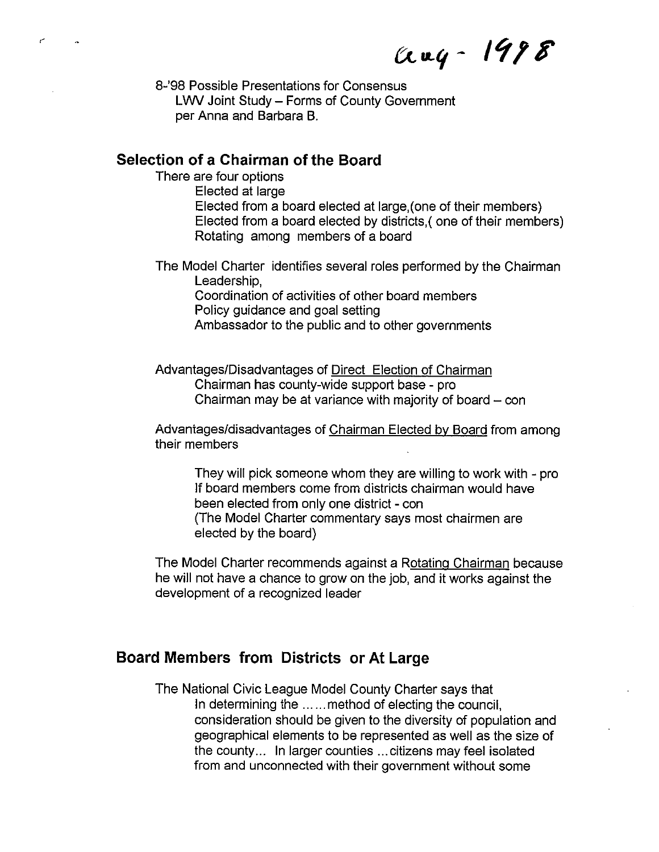aug-1998

8-'98 Possible Presentations for Consensus **L'NV** Joint Study - Forms of County Government per Anna and Barbara B.

#### **Selection of a Chairman of the Board**

 $\epsilon$ 

There are four options Elected at large Elected from a board elected at large,(one of their members) Elected from a board elected by districts,( one of their members) Rotating among members of a board

The Model Charter identifies several roles performed by the Chairman Leadership, Coordination of activities of other board members

Policy guidance and goal setting Ambassador to the public and to other governments

Advantages/Disadvantages of Direct Election of Chairman Chairman has county-wide support base - pro Chairman may be at variance with majority of board  $-$  con

Advantages/disadvantages of Chairman Elected by Board from among their members

They will pick someone whom they are willing to work with - pro If board members come from districts chairman would have been elected from only one district - con (The Model Charter commentary says most chairmen are elected by the board)

The Model Charter recommends against a Rotating Chairman because he will not have a chance to grow on the job, and it works against the development of a recognized leader

## **Board Members from Districts or At Large**

The National Civic League Model County Charter says that In determining the ...... method of electing the council, consideration should be given to the diversity of population and geographical elements to be represented as well as the size of the county... In larger counties ... citizens may feel isolated from and unconnected with their government without some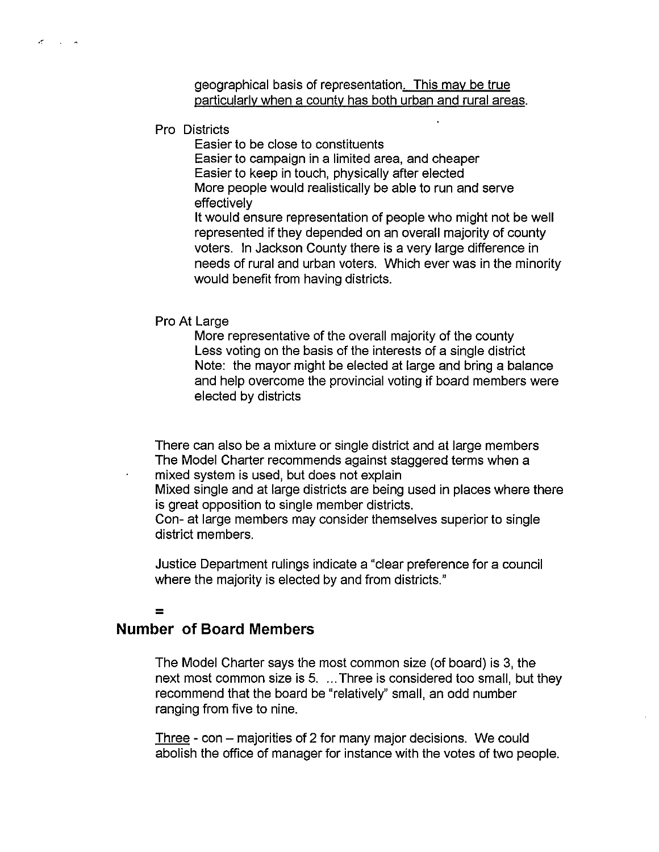geographical basis of representation. This may be true particularly when a county has both urban and rural areas.

Pro Districts

 $\sigma$  and  $\sigma$ 

Easier to be close to constituents Easier to campaign in a limited area, and cheaper Easier to keep in touch, physically after elected More people would realistically be able to run and serve effectively It would ensure representation of people who might not be well represented if they depended on an overall majority of county voters. In Jackson County there is a very large difference in needs of rural and urban voters. Which ever was in the minority

would benefit from having districts.

Pro At Large

More representative of the overall majority of the county Less voting on the basis of the interests of a single district Note: the mayor might be elected at large and bring a balance and help overcome the provincial voting if board members were elected by districts

There can also be a mixture or single district and at large members The Model Charter recommends against staggered terms when a mixed system is used, but does not explain

Mixed single and at large districts are being used in places where there is great opposition to single member districts.

Con- at large members may consider themselves superior to single district members.

Justice Department rulings indicate a "clear preference for a council where the majority is elected by and from districts."

## =

## **Number of Board Members**

The Model Charter says the most common size (of board) is 3, the next most common size is 5. ... Three is considered too small, but they recommend that the board be "relatively" small, an odd number ranging from five to nine.

Three - con – majorities of 2 for many major decisions. We could abolish the office of manager for instance with the votes of two people.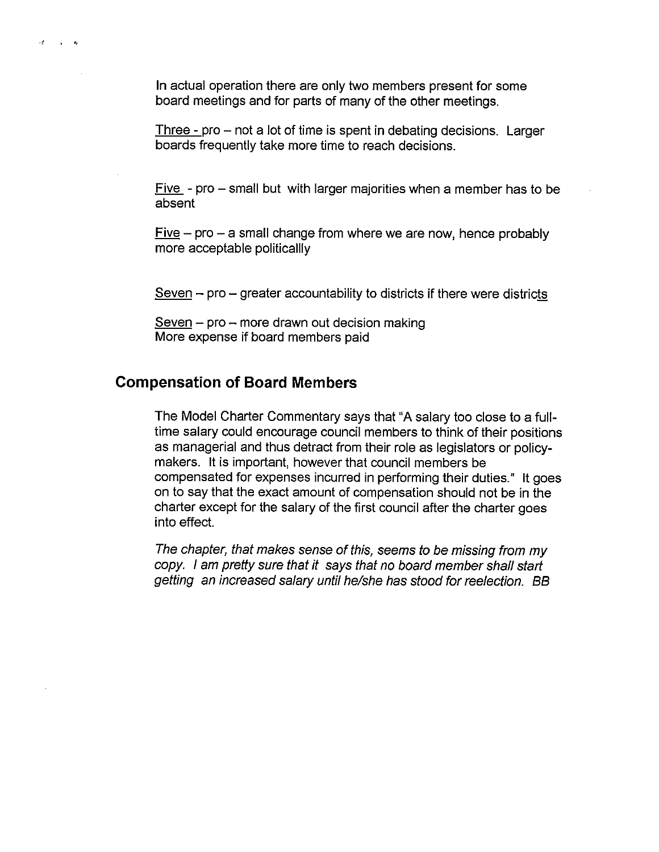In actual operation there are only two members present for some board meetings and for parts of many of the other meetings.

Three  $-$  pro  $-$  not a lot of time is spent in debating decisions. Larger boards frequently take more time to reach decisions.

Five  $-$  pro  $-$  small but with larger majorities when a member has to be absent

 $Five – pro – a small change from where we are now, hence probably$ more acceptable politicalily

 $S$ even  $-$  pro  $-$  greater accountability to districts if there were districts

 $S$ even – pro – more drawn out decision making More expense if board members paid

## **Compensation of Board Members**

 $\mathcal{A}=\mathcal{A}=\mathcal{A}$ 

The Model Charter Commentary says that "A salary too close to a fulltime salary could encourage council members to think of their positions as managerial and thus detract from their role as legislators or policymakers. It is important, however that council members be compensated for expenses incurred in performing their duties." It goes on to say that the exact amount of compensation should not be in the charter except for the salary of the first council after the charter goes into effect.

The chapter, that makes sense of this, seems to be missing from my copy. I am pretty sure that it says that no board member shall start getting an increased salary until he/she has stood for reelection. BB